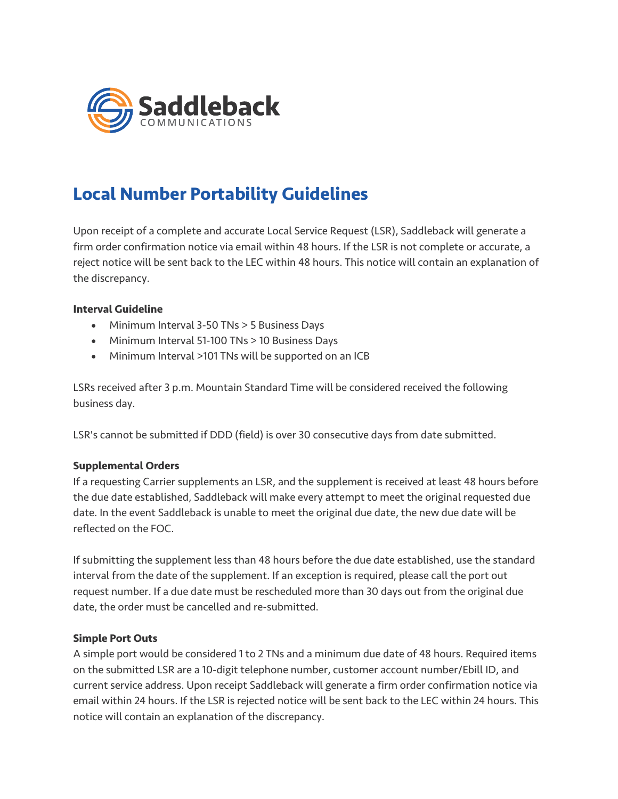

# **Local Number Portability Guidelines**

Upon receipt of a complete and accurate Local Service Request (LSR), Saddleback will generate a firm order confirmation notice via email within 48 hours. If the LSR is not complete or accurate, a reject notice will be sent back to the LEC within 48 hours. This notice will contain an explanation of the discrepancy.

# **Interval Guideline**

- Minimum Interval 3-50 TNs > 5 Business Days
- Minimum Interval 51-100 TNs > 10 Business Days
- Minimum Interval >101 TNs will be supported on an ICB

LSRs received after 3 p.m. Mountain Standard Time will be considered received the following business day.

LSR's cannot be submitted if DDD (field) is over 30 consecutive days from date submitted.

#### **Supplemental Orders**

If a requesting Carrier supplements an LSR, and the supplement is received at least 48 hours before the due date established, Saddleback will make every attempt to meet the original requested due date. In the event Saddleback is unable to meet the original due date, the new due date will be reflected on the FOC.

If submitting the supplement less than 48 hours before the due date established, use the standard interval from the date of the supplement. If an exception is required, please call the port out request number. If a due date must be rescheduled more than 30 days out from the original due date, the order must be cancelled and re-submitted.

#### **Simple Port Outs**

A simple port would be considered 1 to 2 TNs and a minimum due date of 48 hours. Required items on the submitted LSR are a 10-digit telephone number, customer account number/Ebill ID, and current service address. Upon receipt Saddleback will generate a firm order confirmation notice via email within 24 hours. If the LSR is rejected notice will be sent back to the LEC within 24 hours. This notice will contain an explanation of the discrepancy.